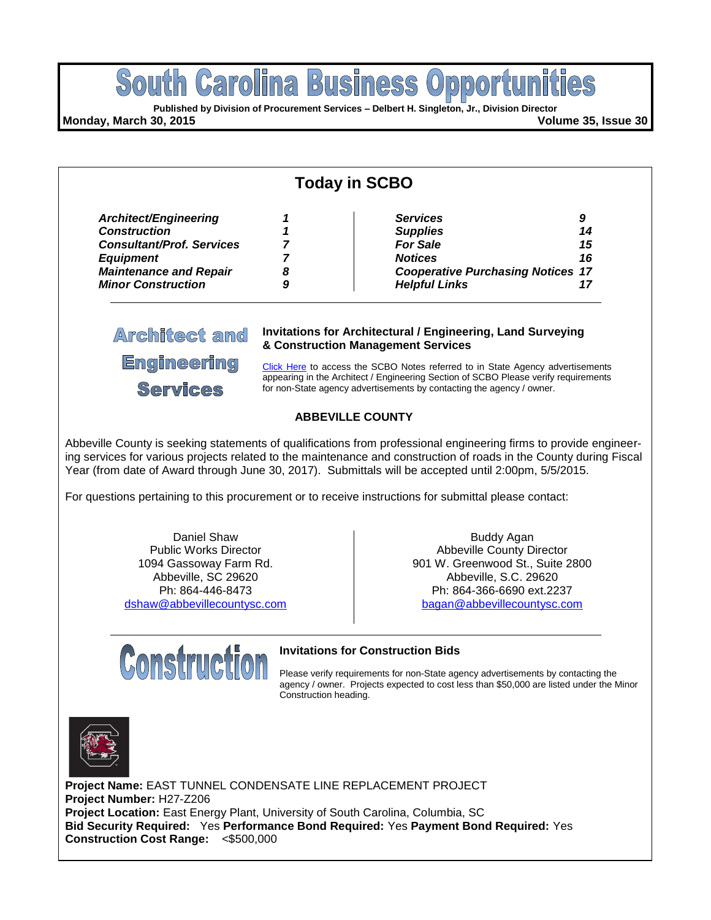

| <b>Today in SCBO</b>             |   |                                                                                                                                                                       |    |  |  |  |
|----------------------------------|---|-----------------------------------------------------------------------------------------------------------------------------------------------------------------------|----|--|--|--|
| Architect/Engineering            |   | <b>Services</b>                                                                                                                                                       | 9  |  |  |  |
| <b>Construction</b>              |   | <b>Supplies</b>                                                                                                                                                       | 14 |  |  |  |
| <b>Consultant/Prof. Services</b> |   | <b>For Sale</b>                                                                                                                                                       | 15 |  |  |  |
| <b>Equipment</b>                 |   | <b>Notices</b>                                                                                                                                                        | 16 |  |  |  |
| <b>Maintenance and Repair</b>    | 8 | <b>Cooperative Purchasing Notices 17</b>                                                                                                                              |    |  |  |  |
| <b>Minor Construction</b>        | 9 | <b>Helpful Links</b>                                                                                                                                                  | 17 |  |  |  |
| <b>Architect and</b>             |   | <b>Invitations for Architectural / Engineering, Land Surveying</b><br>& Construction Management Services                                                              |    |  |  |  |
| <b>Engineering</b>               |   |                                                                                                                                                                       |    |  |  |  |
|                                  |   | Click Here to access the SCBO Notes referred to in State Agency advertisements<br>appearing in the Architect / Engineering Section of SCBO Please verify requirements |    |  |  |  |

#### **ABBEVILLE COUNTY**

for non-State agency advertisements by contacting the agency / owner.

Abbeville County is seeking statements of qualifications from professional engineering firms to provide engineering services for various projects related to the maintenance and construction of roads in the County during Fiscal Year (from date of Award through June 30, 2017). Submittals will be accepted until 2:00pm, 5/5/2015.

For questions pertaining to this procurement or to receive instructions for submittal please contact:

Daniel Shaw Public Works Director 1094 Gassoway Farm Rd. Abbeville, SC 29620 Ph: 864-446-8473 [dshaw@abbevillecountysc.com](mailto:dshaw@abbevillecountysc.com)

**Construction** 

Services

Buddy Agan Abbeville County Director 901 W. Greenwood St., Suite 2800 Abbeville, S.C. 29620 Ph: 864-366-6690 ext.2237 [bagan@abbevillecountysc.com](mailto:bagan@abbevillecountysc.com)

#### **Invitations for Construction Bids**

Please verify requirements for non-State agency advertisements by contacting the agency / owner. Projects expected to cost less than \$50,000 are listed under the Minor Construction heading.



**Project Name:** EAST TUNNEL CONDENSATE LINE REPLACEMENT PROJECT **Project Number:** H27-Z206 **Project Location:** East Energy Plant, University of South Carolina, Columbia, SC **Bid Security Required:** Yes **Performance Bond Required:** Yes **Payment Bond Required:** Yes **Construction Cost Range:** <\$500,000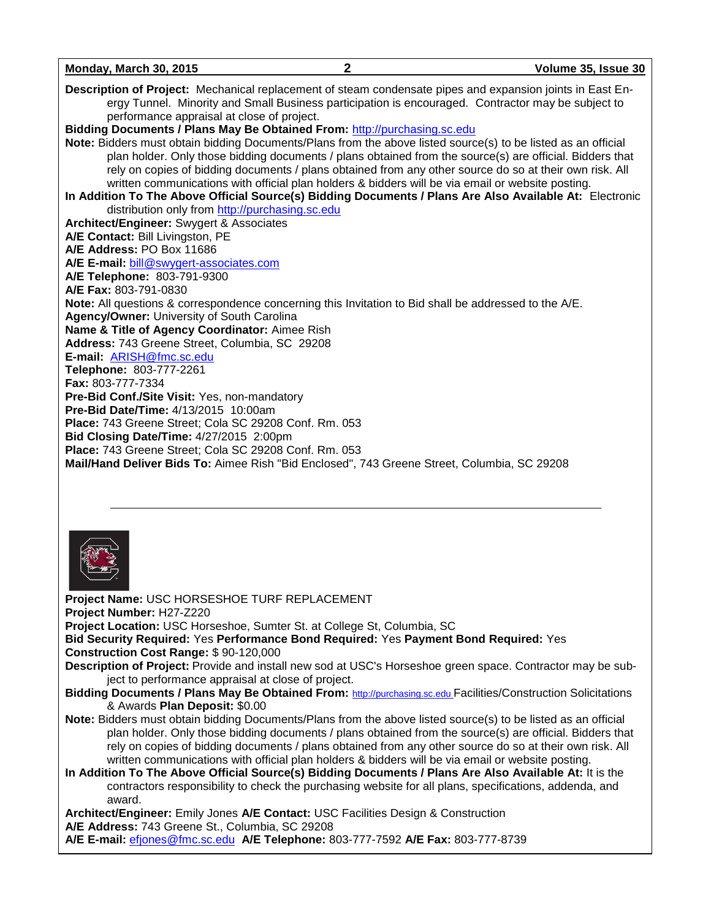| Monday, March 30, 2015                                                                                                                                                                                                                                                                                                                                                                                                                    | $\mathbf{2}$ | Volume 35, Issue 30 |
|-------------------------------------------------------------------------------------------------------------------------------------------------------------------------------------------------------------------------------------------------------------------------------------------------------------------------------------------------------------------------------------------------------------------------------------------|--------------|---------------------|
| Description of Project: Mechanical replacement of steam condensate pipes and expansion joints in East En-<br>ergy Tunnel. Minority and Small Business participation is encouraged. Contractor may be subject to<br>performance appraisal at close of project.                                                                                                                                                                             |              |                     |
| Bidding Documents / Plans May Be Obtained From: http://purchasing.sc.edu                                                                                                                                                                                                                                                                                                                                                                  |              |                     |
| Note: Bidders must obtain bidding Documents/Plans from the above listed source(s) to be listed as an official<br>plan holder. Only those bidding documents / plans obtained from the source(s) are official. Bidders that<br>rely on copies of bidding documents / plans obtained from any other source do so at their own risk. All<br>written communications with official plan holders & bidders will be via email or website posting. |              |                     |
| In Addition To The Above Official Source(s) Bidding Documents / Plans Are Also Available At: Electronic                                                                                                                                                                                                                                                                                                                                   |              |                     |
| distribution only from http://purchasing.sc.edu<br>Architect/Engineer: Swygert & Associates                                                                                                                                                                                                                                                                                                                                               |              |                     |
| A/E Contact: Bill Livingston, PE                                                                                                                                                                                                                                                                                                                                                                                                          |              |                     |
| A/E Address: PO Box 11686                                                                                                                                                                                                                                                                                                                                                                                                                 |              |                     |
| A/E E-mail: bill@swygert-associates.com                                                                                                                                                                                                                                                                                                                                                                                                   |              |                     |
| A/E Telephone: 803-791-9300                                                                                                                                                                                                                                                                                                                                                                                                               |              |                     |
| A/E Fax: 803-791-0830                                                                                                                                                                                                                                                                                                                                                                                                                     |              |                     |
| <b>Note:</b> All questions & correspondence concerning this Invitation to Bid shall be addressed to the A/E.                                                                                                                                                                                                                                                                                                                              |              |                     |
| Agency/Owner: University of South Carolina                                                                                                                                                                                                                                                                                                                                                                                                |              |                     |
| Name & Title of Agency Coordinator: Aimee Rish                                                                                                                                                                                                                                                                                                                                                                                            |              |                     |
| Address: 743 Greene Street, Columbia, SC 29208                                                                                                                                                                                                                                                                                                                                                                                            |              |                     |
| E-mail: ARISH@fmc.sc.edu                                                                                                                                                                                                                                                                                                                                                                                                                  |              |                     |
| Telephone: 803-777-2261                                                                                                                                                                                                                                                                                                                                                                                                                   |              |                     |
| Fax: 803-777-7334                                                                                                                                                                                                                                                                                                                                                                                                                         |              |                     |
| Pre-Bid Conf./Site Visit: Yes, non-mandatory                                                                                                                                                                                                                                                                                                                                                                                              |              |                     |
| <b>Pre-Bid Date/Time: 4/13/2015 10:00am</b>                                                                                                                                                                                                                                                                                                                                                                                               |              |                     |
| Place: 743 Greene Street; Cola SC 29208 Conf. Rm. 053                                                                                                                                                                                                                                                                                                                                                                                     |              |                     |
| Bid Closing Date/Time: 4/27/2015 2:00pm                                                                                                                                                                                                                                                                                                                                                                                                   |              |                     |
| Place: 743 Greene Street; Cola SC 29208 Conf. Rm. 053                                                                                                                                                                                                                                                                                                                                                                                     |              |                     |
| Mail/Hand Deliver Bids To: Aimee Rish "Bid Enclosed", 743 Greene Street, Columbia, SC 29208                                                                                                                                                                                                                                                                                                                                               |              |                     |
|                                                                                                                                                                                                                                                                                                                                                                                                                                           |              |                     |
|                                                                                                                                                                                                                                                                                                                                                                                                                                           |              |                     |



**Project Name:** USC HORSESHOE TURF REPLACEMENT **Project Number:** H27-Z220 **Project Location:** USC Horseshoe, Sumter St. at College St, Columbia, SC **Bid Security Required:** Yes **Performance Bond Required:** Yes **Payment Bond Required:** Yes **Construction Cost Range:** \$ 90-120,000 **Description of Project:** Provide and install new sod at USC's Horseshoe green space. Contractor may be subject to performance appraisal at close of project. **Bidding Documents / Plans May Be Obtained From:** [http://purchasing.sc.edu](http://purchasing.sc.edu/) Facilities/Construction Solicitations & Awards **Plan Deposit:** \$0.00 **Note:** Bidders must obtain bidding Documents/Plans from the above listed source(s) to be listed as an official plan holder. Only those bidding documents / plans obtained from the source(s) are official. Bidders that rely on copies of bidding documents / plans obtained from any other source do so at their own risk. All written communications with official plan holders & bidders will be via email or website posting. **In Addition To The Above Official Source(s) Bidding Documents / Plans Are Also Available At:** It is the contractors responsibility to check the purchasing website for all plans, specifications, addenda, and award. **Architect/Engineer:** Emily Jones **A/E Contact:** USC Facilities Design & Construction **A/E Address:** 743 Greene St., Columbia, SC 29208

**A/E E-mail:** [efjones@fmc.sc.edu](mailto:efjones@fmc.sc.edu) **A/E Telephone:** 803-777-7592 **A/E Fax:** 803-777-8739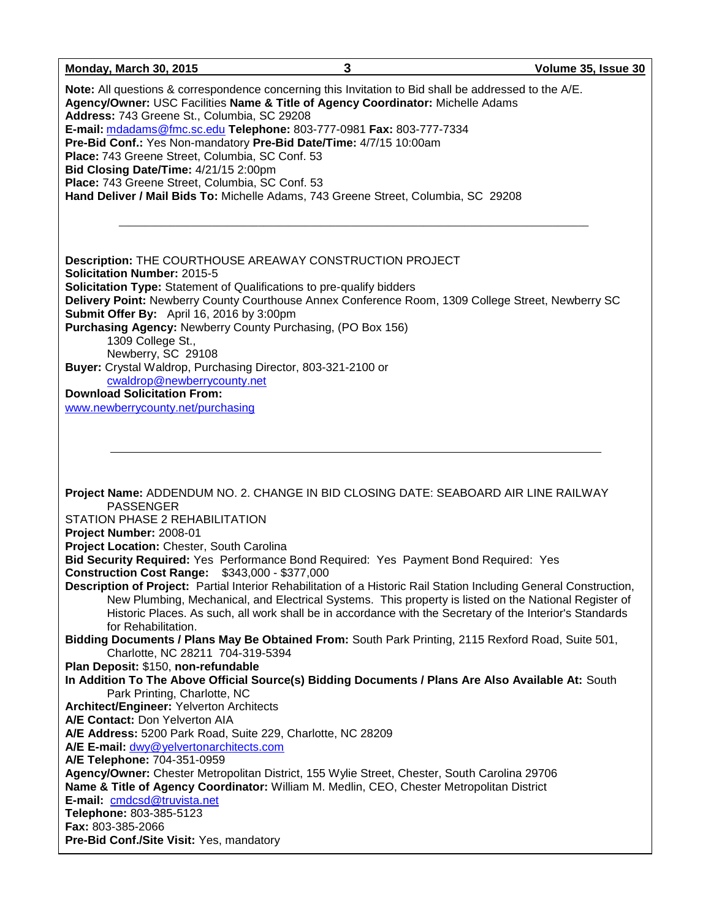**Monday, March 30, 2015 3 Volume 35, Issue 30 Note:** All questions & correspondence concerning this Invitation to Bid shall be addressed to the A/E. **Agency/Owner:** USC Facilities **Name & Title of Agency Coordinator:** Michelle Adams **Address:** 743 Greene St., Columbia, SC 29208 **E-mail:** [mdadams@fmc.sc.edu](mailto:mdadams@fmc.sc.edu) **Telephone:** 803-777-0981 **Fax:** 803-777-7334 **Pre-Bid Conf.:** Yes Non-mandatory **Pre-Bid Date/Time:** 4/7/15 10:00am **Place:** 743 Greene Street, Columbia, SC Conf. 53 **Bid Closing Date/Time:** 4/21/15 2:00pm **Place:** 743 Greene Street, Columbia, SC Conf. 53 **Hand Deliver / Mail Bids To:** Michelle Adams, 743 Greene Street, Columbia, SC 29208  $\_$  , and the set of the set of the set of the set of the set of the set of the set of the set of the set of the set of the set of the set of the set of the set of the set of the set of the set of the set of the set of th **Description:** THE COURTHOUSE AREAWAY CONSTRUCTION PROJECT **Solicitation Number:** 2015-5 **Solicitation Type:** Statement of Qualifications to pre-qualify bidders **Delivery Point:** Newberry County Courthouse Annex Conference Room, 1309 College Street, Newberry SC **Submit Offer By:** April 16, 2016 by 3:00pm **Purchasing Agency:** Newberry County Purchasing, (PO Box 156) 1309 College St., Newberry, SC 29108 **Buyer:** Crystal Waldrop, Purchasing Director, 803-321-2100 or [cwaldrop@newberrycounty.net](mailto:cwaldrop@newberrycounty.net) **Download Solicitation From:** [www.newberrycounty.net/purchasing](http://www.newberrycounty.net/purchasing) **Project Name:** ADDENDUM NO. 2. CHANGE IN BID CLOSING DATE: SEABOARD AIR LINE RAILWAY PASSENGER STATION PHASE 2 REHABILITATION **Project Number:** 2008-01 **Project Location:** Chester, South Carolina **Bid Security Required:** Yes Performance Bond Required: Yes Payment Bond Required: Yes **Construction Cost Range:** \$343,000 - \$377,000 **Description of Project:** Partial Interior Rehabilitation of a Historic Rail Station Including General Construction, New Plumbing, Mechanical, and Electrical Systems. This property is listed on the National Register of Historic Places. As such, all work shall be in accordance with the Secretary of the Interior's Standards for Rehabilitation. **Bidding Documents / Plans May Be Obtained From:** South Park Printing, 2115 Rexford Road, Suite 501, Charlotte, NC 28211 704-319-5394 **Plan Deposit:** \$150, **non-refundable In Addition To The Above Official Source(s) Bidding Documents / Plans Are Also Available At:** South Park Printing, Charlotte, NC **Architect/Engineer:** Yelverton Architects **A/E Contact:** Don Yelverton AIA **A/E Address:** 5200 Park Road, Suite 229, Charlotte, NC 28209 **A/E E-mail:** [dwy@yelvertonarchitects.com](mailto:dwy@yelvertonarchitects.com) **A/E Telephone:** 704-351-0959 **Agency/Owner:** Chester Metropolitan District, 155 Wylie Street, Chester, South Carolina 29706 **Name & Title of Agency Coordinator:** William M. Medlin, CEO, Chester Metropolitan District **E-mail:** [cmdcsd@truvista.net](mailto:cmdcsd@truvista.net) **Telephone:** 803-385-5123 **Fax:** 803-385-2066 **Pre-Bid Conf./Site Visit:** Yes, mandatory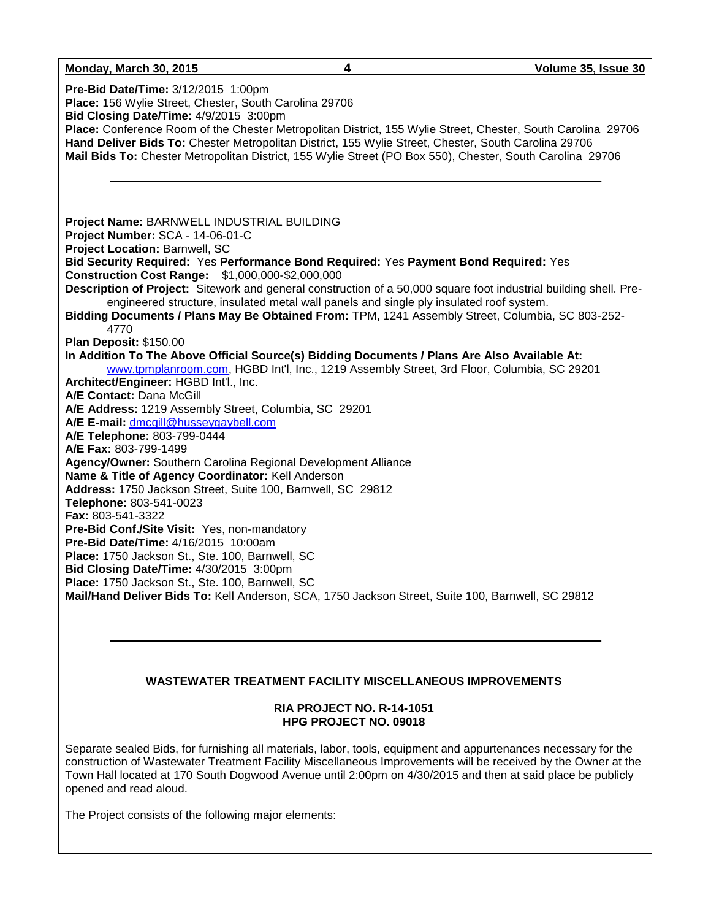#### **Monday, March 30, 2015 4 Volume 35, Issue 30**

**Pre-Bid Date/Time:** 3/12/2015 1:00pm **Place:** 156 Wylie Street, Chester, South Carolina 29706 **Bid Closing Date/Time:** 4/9/2015 3:00pm **Place:** Conference Room of the Chester Metropolitan District, 155 Wylie Street, Chester, South Carolina 29706 **Hand Deliver Bids To:** Chester Metropolitan District, 155 Wylie Street, Chester, South Carolina 29706 **Mail Bids To:** Chester Metropolitan District, 155 Wylie Street (PO Box 550), Chester, South Carolina 29706 **Project Name:** BARNWELL INDUSTRIAL BUILDING **Project Number:** SCA - 14-06-01-C **Project Location:** Barnwell, SC **Bid Security Required:** Yes **Performance Bond Required:** Yes **Payment Bond Required:** Yes **Construction Cost Range:** \$1,000,000-\$2,000,000 **Description of Project:** Sitework and general construction of a 50,000 square foot industrial building shell. Preengineered structure, insulated metal wall panels and single ply insulated roof system. **Bidding Documents / Plans May Be Obtained From:** TPM, 1241 Assembly Street, Columbia, SC 803-252- 4770 **Plan Deposit:** \$150.00 **In Addition To The Above Official Source(s) Bidding Documents / Plans Are Also Available At:** [www.tpmplanroom.com,](http://www.tpmplanroom.com/) HGBD Int'l, Inc., 1219 Assembly Street, 3rd Floor, Columbia, SC 29201 **Architect/Engineer:** HGBD Int'l., Inc. **A/E Contact:** Dana McGill **A/E Address:** 1219 Assembly Street, Columbia, SC 29201 **A/E E-mail:** [dmcgill@husseygaybell.com](mailto:dmcgill@husseygaybell.com) **A/E Telephone:** 803-799-0444 **A/E Fax:** 803-799-1499 **Agency/Owner:** Southern Carolina Regional Development Alliance **Name & Title of Agency Coordinator:** Kell Anderson **Address:** 1750 Jackson Street, Suite 100, Barnwell, SC 29812 **Telephone:** 803-541-0023 **Fax:** 803-541-3322 **Pre-Bid Conf./Site Visit:** Yes, non-mandatory **Pre-Bid Date/Time:** 4/16/2015 10:00am **Place:** 1750 Jackson St., Ste. 100, Barnwell, SC **Bid Closing Date/Time:** 4/30/2015 3:00pm **Place:** 1750 Jackson St., Ste. 100, Barnwell, SC **Mail/Hand Deliver Bids To:** Kell Anderson, SCA, 1750 Jackson Street, Suite 100, Barnwell, SC 29812

#### **WASTEWATER TREATMENT FACILITY MISCELLANEOUS IMPROVEMENTS**

#### **RIA PROJECT NO. R-14-1051 HPG PROJECT NO. 09018**

Separate sealed Bids, for furnishing all materials, labor, tools, equipment and appurtenances necessary for the construction of Wastewater Treatment Facility Miscellaneous Improvements will be received by the Owner at the Town Hall located at 170 South Dogwood Avenue until 2:00pm on 4/30/2015 and then at said place be publicly opened and read aloud.

The Project consists of the following major elements: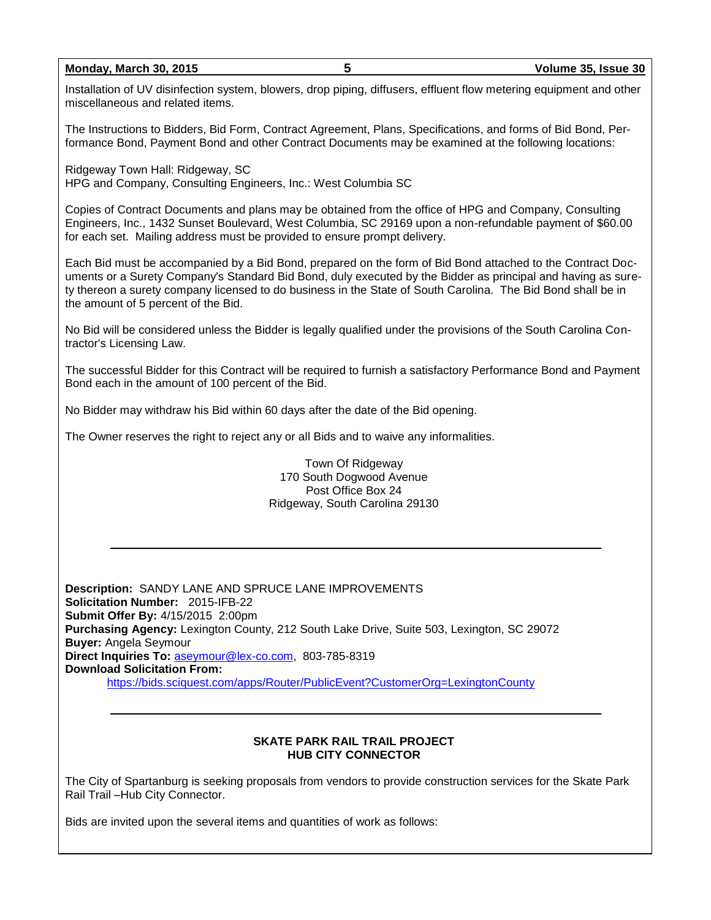#### **Monday, March 30, 2015 5 Volume 35, Issue 30**

Installation of UV disinfection system, blowers, drop piping, diffusers, effluent flow metering equipment and other miscellaneous and related items.

The Instructions to Bidders, Bid Form, Contract Agreement, Plans, Specifications, and forms of Bid Bond, Performance Bond, Payment Bond and other Contract Documents may be examined at the following locations:

Ridgeway Town Hall: Ridgeway, SC HPG and Company, Consulting Engineers, Inc.: West Columbia SC

Copies of Contract Documents and plans may be obtained from the office of HPG and Company, Consulting Engineers, Inc., 1432 Sunset Boulevard, West Columbia, SC 29169 upon a non-refundable payment of \$60.00 for each set. Mailing address must be provided to ensure prompt delivery.

Each Bid must be accompanied by a Bid Bond, prepared on the form of Bid Bond attached to the Contract Documents or a Surety Company's Standard Bid Bond, duly executed by the Bidder as principal and having as surety thereon a surety company licensed to do business in the State of South Carolina. The Bid Bond shall be in the amount of 5 percent of the Bid.

No Bid will be considered unless the Bidder is legally qualified under the provisions of the South Carolina Contractor's Licensing Law.

The successful Bidder for this Contract will be required to furnish a satisfactory Performance Bond and Payment Bond each in the amount of 100 percent of the Bid.

No Bidder may withdraw his Bid within 60 days after the date of the Bid opening.

The Owner reserves the right to reject any or all Bids and to waive any informalities.

Town Of Ridgeway 170 South Dogwood Avenue Post Office Box 24 Ridgeway, South Carolina 29130

**Description:** SANDY LANE AND SPRUCE LANE IMPROVEMENTS **Solicitation Number:** 2015-IFB-22 **Submit Offer By:** 4/15/2015 2:00pm **Purchasing Agency:** Lexington County, 212 South Lake Drive, Suite 503, Lexington, SC 29072 **Buyer:** Angela Seymour **Direct Inquiries To:** [aseymour@lex-co.com,](mailto:aseymour@lex-co.com) 803-785-8319 **Download Solicitation From:** <https://bids.sciquest.com/apps/Router/PublicEvent?CustomerOrg=LexingtonCounty>

#### **SKATE PARK RAIL TRAIL PROJECT HUB CITY CONNECTOR**

The City of Spartanburg is seeking proposals from vendors to provide construction services for the Skate Park Rail Trail –Hub City Connector.

Bids are invited upon the several items and quantities of work as follows: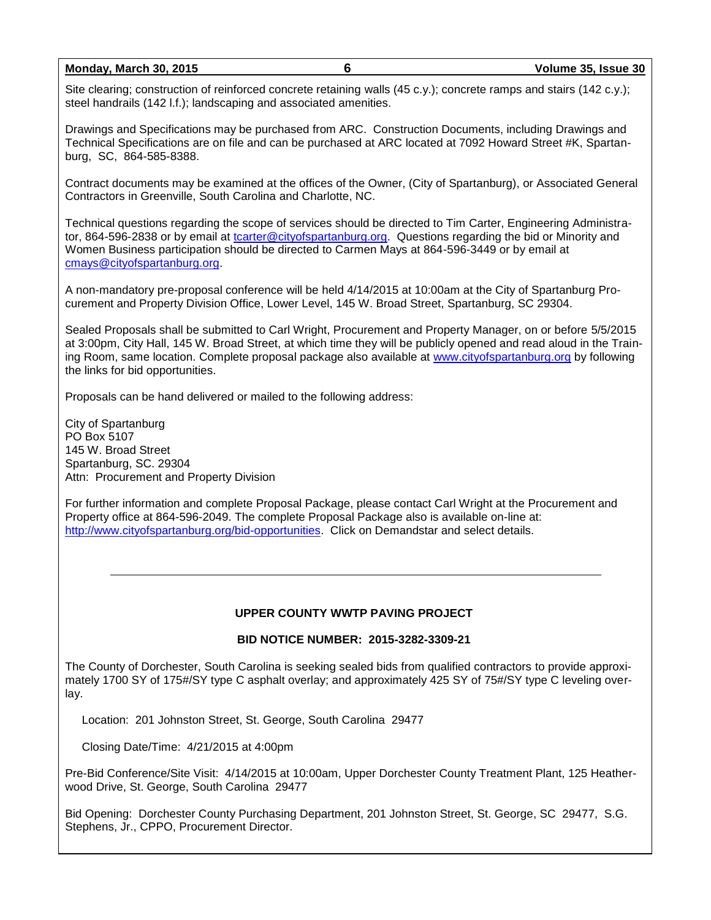**Monday, March 30, 2015 6 Volume 35, Issue 30**

Site clearing; construction of reinforced concrete retaining walls (45 c.y.); concrete ramps and stairs (142 c.y.); steel handrails (142 l.f.); landscaping and associated amenities.

Drawings and Specifications may be purchased from ARC. Construction Documents, including Drawings and Technical Specifications are on file and can be purchased at ARC located at 7092 Howard Street #K, Spartanburg, SC, 864-585-8388.

Contract documents may be examined at the offices of the Owner, (City of Spartanburg), or Associated General Contractors in Greenville, South Carolina and Charlotte, NC.

Technical questions regarding the scope of services should be directed to Tim Carter, Engineering Administrator, 864-596-2838 or by email at [tcarter@cityofspartanburg.org.](mailto:tcarter@cityofspartanburg.org) Questions regarding the bid or Minority and Women Business participation should be directed to Carmen Mays at 864-596-3449 or by email at [cmays@cityofspartanburg.org.](mailto:cmays@cityofspartanburg.org)

A non-mandatory pre-proposal conference will be held 4/14/2015 at 10:00am at the City of Spartanburg Procurement and Property Division Office, Lower Level, 145 W. Broad Street, Spartanburg, SC 29304.

Sealed Proposals shall be submitted to Carl Wright, Procurement and Property Manager, on or before 5/5/2015 at 3:00pm, City Hall, 145 W. Broad Street, at which time they will be publicly opened and read aloud in the Training Room, same location. Complete proposal package also available at [www.cityofspartanburg.org](http://www.cityofspartanburg.org/) by following the links for bid opportunities.

Proposals can be hand delivered or mailed to the following address:

City of Spartanburg PO Box 5107 145 W. Broad Street Spartanburg, SC. 29304 Attn: Procurement and Property Division

For further information and complete Proposal Package, please contact Carl Wright at the Procurement and Property office at 864-596-2049. The complete Proposal Package also is available on-line at: [http://www.cityofspartanburg.org/bid-opportunities.](http://www.cityofspartanburg.org/bid-opportunities) Click on Demandstar and select details.

#### **UPPER COUNTY WWTP PAVING PROJECT**

#### **BID NOTICE NUMBER: 2015-3282-3309-21**

The County of Dorchester, South Carolina is seeking sealed bids from qualified contractors to provide approximately 1700 SY of 175#/SY type C asphalt overlay; and approximately 425 SY of 75#/SY type C leveling overlay.

Location: 201 Johnston Street, St. George, South Carolina 29477

Closing Date/Time: 4/21/2015 at 4:00pm

Pre-Bid Conference/Site Visit: 4/14/2015 at 10:00am, Upper Dorchester County Treatment Plant, 125 Heatherwood Drive, St. George, South Carolina 29477

Bid Opening: Dorchester County Purchasing Department, 201 Johnston Street, St. George, SC 29477, S.G. Stephens, Jr., CPPO, Procurement Director.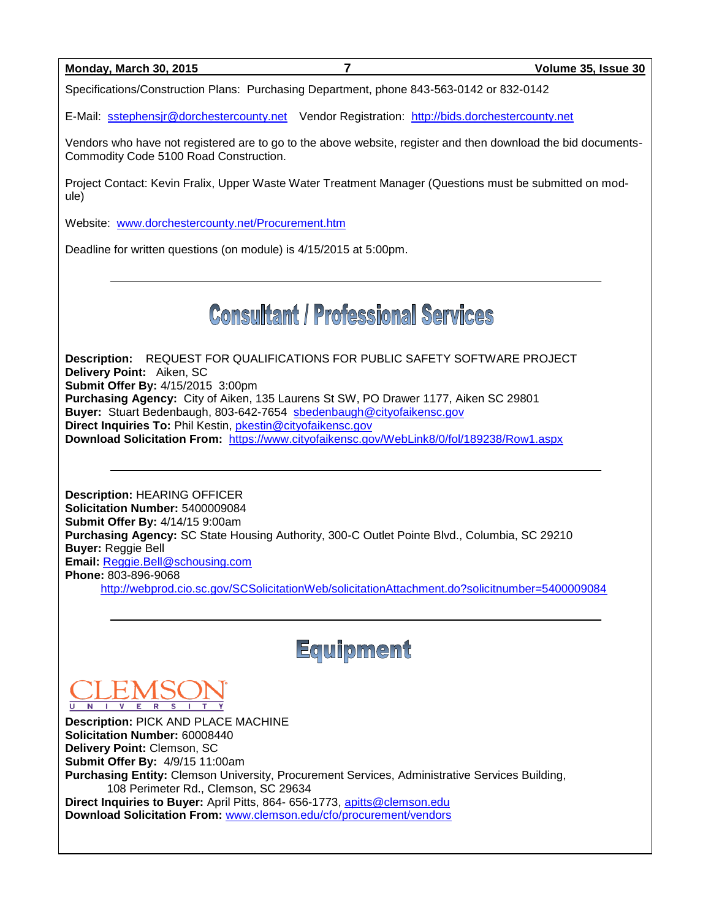| <b>Monday, March 30, 2015</b> |  |  |
|-------------------------------|--|--|
|                               |  |  |

Specifications/Construction Plans: Purchasing Department, phone 843-563-0142 or 832-0142

E-Mail: [sstephensjr@dorchestercounty.net](mailto:sstephensjr@dorchestercounty.net) Vendor Registration: [http://bids.dorchestercounty.net](http://bids.dorchestercounty.net/)

Vendors who have not registered are to go to the above website, register and then download the bid documents-Commodity Code 5100 Road Construction.

Project Contact: Kevin Fralix, Upper Waste Water Treatment Manager (Questions must be submitted on module)

Website: [www.dorchestercounty.net/Procurement.htm](http://www.dorchestercounty.net/Procurement.htm)

Deadline for written questions (on module) is 4/15/2015 at 5:00pm.

# **Consultant / Professional Services**

**Description:** REQUEST FOR QUALIFICATIONS FOR PUBLIC SAFETY SOFTWARE PROJECT **Delivery Point:** Aiken, SC **Submit Offer By:** 4/15/2015 3:00pm **Purchasing Agency:** City of Aiken, 135 Laurens St SW, PO Drawer 1177, Aiken SC 29801 **Buyer:** Stuart Bedenbaugh, 803-642-7654 [sbedenbaugh@cityofaikensc.gov](mailto:sbedenbaugh@cityofaikensc.gov) **Direct Inquiries To: Phil Kestin, [pkestin@cityofaikensc.gov](mailto:pkestin@cityofaikensc.gov) Download Solicitation From:** <https://www.cityofaikensc.gov/WebLink8/0/fol/189238/Row1.aspx>

**Description:** HEARING OFFICER **Solicitation Number:** 5400009084 **Submit Offer By:** 4/14/15 9:00am **Purchasing Agency:** SC State Housing Authority, 300-C Outlet Pointe Blvd., Columbia, SC 29210 **Buyer:** Reggie Bell **Email:** [Reggie.Bell@schousing.com](mailto:Reggie.Bell@schousing.com) **Phone:** 803-896-9068

<http://webprod.cio.sc.gov/SCSolicitationWeb/solicitationAttachment.do?solicitnumber=5400009084>



**Description:** PICK AND PLACE MACHINE **Solicitation Number:** 60008440 **Delivery Point:** Clemson, SC **Submit Offer By:** 4/9/15 11:00am **Purchasing Entity:** Clemson University, Procurement Services, Administrative Services Building, 108 Perimeter Rd., Clemson, SC 29634 **Direct Inquiries to Buyer:** April Pitts, 864- 656-1773, [apitts@clemson.edu](mailto:apitts@clemson.edu) **Download Solicitation From:** [www.clemson.edu/cfo/procurement/vendors](http://www.clemson.edu/cfo/procurement/vendors)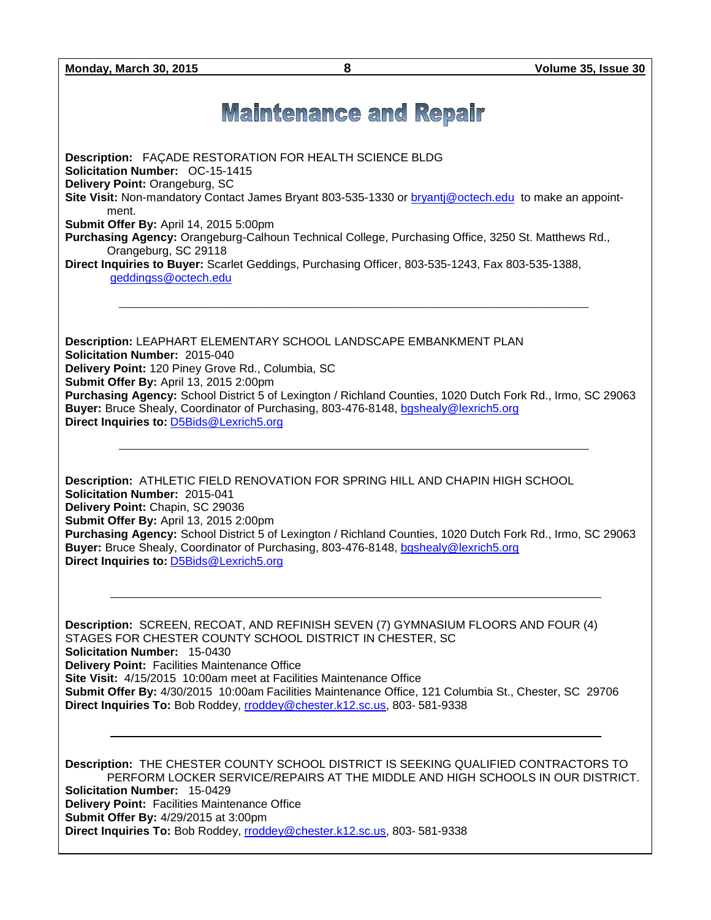**Monday, March 30, 2015 8 Volume 35, Issue 30**

## **Maintenance and Repair**

**Description:** FAÇADE RESTORATION FOR HEALTH SCIENCE BLDG **Solicitation Number:** OC-15-1415 **Delivery Point:** Orangeburg, SC **Site Visit:** Non-mandatory Contact James Bryant 803-535-1330 or [bryantj@octech.edu](mailto:bryantj@octech.edu) to make an appointment. **Submit Offer By:** April 14, 2015 5:00pm **Purchasing Agency:** Orangeburg-Calhoun Technical College, Purchasing Office, 3250 St. Matthews Rd., Orangeburg, SC 29118 **Direct Inquiries to Buyer:** Scarlet Geddings, Purchasing Officer, 803-535-1243, Fax 803-535-1388, [geddingss@octech.edu](mailto:geddingss@octech.edu)  $\_$  ,  $\_$  ,  $\_$  ,  $\_$  ,  $\_$  ,  $\_$  ,  $\_$  ,  $\_$  ,  $\_$  ,  $\_$  ,  $\_$  ,  $\_$  ,  $\_$  ,  $\_$  ,  $\_$  ,  $\_$  ,  $\_$  ,  $\_$  ,  $\_$  ,  $\_$  ,  $\_$  ,  $\_$  ,  $\_$  ,  $\_$  ,  $\_$  ,  $\_$  ,  $\_$  ,  $\_$  ,  $\_$  ,  $\_$  ,  $\_$  ,  $\_$  ,  $\_$  ,  $\_$  ,  $\_$  ,  $\_$  ,  $\_$  ,

**Description:** LEAPHART ELEMENTARY SCHOOL LANDSCAPE EMBANKMENT PLAN **Solicitation Number:** 2015-040 **Delivery Point:** 120 Piney Grove Rd., Columbia, SC **Submit Offer By:** April 13, 2015 2:00pm **Purchasing Agency:** School District 5 of Lexington / Richland Counties, 1020 Dutch Fork Rd., Irmo, SC 29063 **Buyer:** Bruce Shealy, Coordinator of Purchasing, 803-476-8148, [bgshealy@lexrich5.org](mailto:bgshealy@lexrich5.org) **Direct Inquiries to:** [D5Bids@Lexrich5.org](mailto:D5Bids@Lexrich5.org)

 $\_$  ,  $\_$  ,  $\_$  ,  $\_$  ,  $\_$  ,  $\_$  ,  $\_$  ,  $\_$  ,  $\_$  ,  $\_$  ,  $\_$  ,  $\_$  ,  $\_$  ,  $\_$  ,  $\_$  ,  $\_$  ,  $\_$  ,  $\_$  ,  $\_$  ,  $\_$  ,  $\_$  ,  $\_$  ,  $\_$  ,  $\_$  ,  $\_$  ,  $\_$  ,  $\_$  ,  $\_$  ,  $\_$  ,  $\_$  ,  $\_$  ,  $\_$  ,  $\_$  ,  $\_$  ,  $\_$  ,  $\_$  ,  $\_$  ,

**Description:** ATHLETIC FIELD RENOVATION FOR SPRING HILL AND CHAPIN HIGH SCHOOL **Solicitation Number:** 2015-041 **Delivery Point:** Chapin, SC 29036 **Submit Offer By:** April 13, 2015 2:00pm **Purchasing Agency:** School District 5 of Lexington / Richland Counties, 1020 Dutch Fork Rd., Irmo, SC 29063 **Buyer:** Bruce Shealy, Coordinator of Purchasing, 803-476-8148, [bgshealy@lexrich5.org](mailto:bgshealy@lexrich5.org) **Direct Inquiries to:** [D5Bids@Lexrich5.org](mailto:D5Bids@Lexrich5.org)

**Description:** SCREEN, RECOAT, AND REFINISH SEVEN (7) GYMNASIUM FLOORS AND FOUR (4) STAGES FOR CHESTER COUNTY SCHOOL DISTRICT IN CHESTER, SC **Solicitation Number:** 15-0430 **Delivery Point:** Facilities Maintenance Office **Site Visit:** 4/15/2015 10:00am meet at Facilities Maintenance Office **Submit Offer By:** 4/30/2015 10:00am Facilities Maintenance Office, 121 Columbia St., Chester, SC 29706 **Direct Inquiries To:** Bob Roddey, [rroddey@chester.k12.sc.us,](mailto:rroddey@chester.k12.sc.us) 803- 581-9338

**Description:** THE CHESTER COUNTY SCHOOL DISTRICT IS SEEKING QUALIFIED CONTRACTORS TO PERFORM LOCKER SERVICE/REPAIRS AT THE MIDDLE AND HIGH SCHOOLS IN OUR DISTRICT. **Solicitation Number:** 15-0429 **Delivery Point:** Facilities Maintenance Office **Submit Offer By:** 4/29/2015 at 3:00pm **Direct Inquiries To:** Bob Roddey, [rroddey@chester.k12.sc.us,](mailto:rroddey@chester.k12.sc.us) 803- 581-9338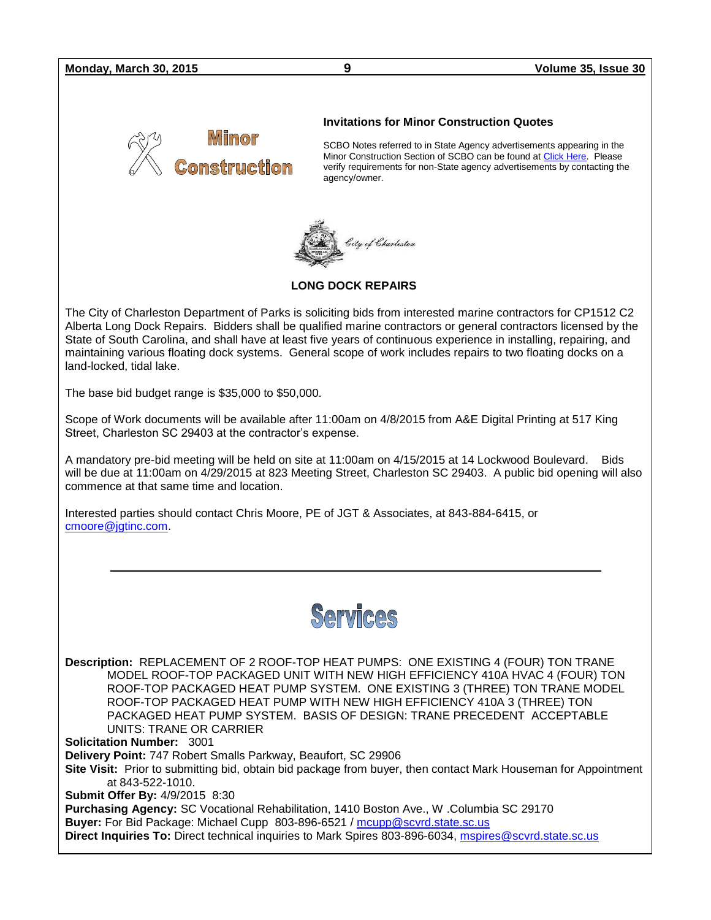#### **Monday, March 30, 2015 9 Volume 35, Issue 30**



#### **Invitations for Minor Construction Quotes**

SCBO Notes referred to in State Agency advertisements appearing in the Minor Construction Section of SCBO can be found at [Click Here.](http://www.mmo.sc.gov/PS/general/scbo/SCBO_Notes_060512.pdf) Please verify requirements for non-State agency advertisements by contacting the agency/owner.



#### **LONG DOCK REPAIRS**

The City of Charleston Department of Parks is soliciting bids from interested marine contractors for CP1512 C2 Alberta Long Dock Repairs. Bidders shall be qualified marine contractors or general contractors licensed by the State of South Carolina, and shall have at least five years of continuous experience in installing, repairing, and maintaining various floating dock systems. General scope of work includes repairs to two floating docks on a land-locked, tidal lake.

The base bid budget range is \$35,000 to \$50,000.

Scope of Work documents will be available after 11:00am on 4/8/2015 from A&E Digital Printing at 517 King Street, Charleston SC 29403 at the contractor's expense.

A mandatory pre-bid meeting will be held on site at 11:00am on 4/15/2015 at 14 Lockwood Boulevard. Bids will be due at 11:00am on 4/29/2015 at 823 Meeting Street, Charleston SC 29403. A public bid opening will also commence at that same time and location.

Interested parties should contact Chris Moore, PE of JGT & Associates, at 843-884-6415, or [cmoore@jgtinc.com.](mailto:cmoore@jgtinc.com)



**Description:** REPLACEMENT OF 2 ROOF-TOP HEAT PUMPS: ONE EXISTING 4 (FOUR) TON TRANE MODEL ROOF-TOP PACKAGED UNIT WITH NEW HIGH EFFICIENCY 410A HVAC 4 (FOUR) TON ROOF-TOP PACKAGED HEAT PUMP SYSTEM. ONE EXISTING 3 (THREE) TON TRANE MODEL ROOF-TOP PACKAGED HEAT PUMP WITH NEW HIGH EFFICIENCY 410A 3 (THREE) TON PACKAGED HEAT PUMP SYSTEM. BASIS OF DESIGN: TRANE PRECEDENT ACCEPTABLE UNITS: TRANE OR CARRIER

**Solicitation Number:** 3001

**Delivery Point:** 747 Robert Smalls Parkway, Beaufort, SC 29906

**Site Visit:** Prior to submitting bid, obtain bid package from buyer, then contact Mark Houseman for Appointment at 843-522-1010.

**Submit Offer By:** 4/9/2015 8:30

**Purchasing Agency:** SC Vocational Rehabilitation, 1410 Boston Ave., W .Columbia SC 29170 **Buyer:** For Bid Package: Michael Cupp 803-896-6521 / [mcupp@scvrd.state.sc.us](mailto:mcupp@scvrd.state.sc.us)

**Direct Inquiries To:** Direct technical inquiries to Mark Spires 803-896-6034, [mspires@scvrd.state.sc.us](mailto:mspires@scvrd.state.sc.us)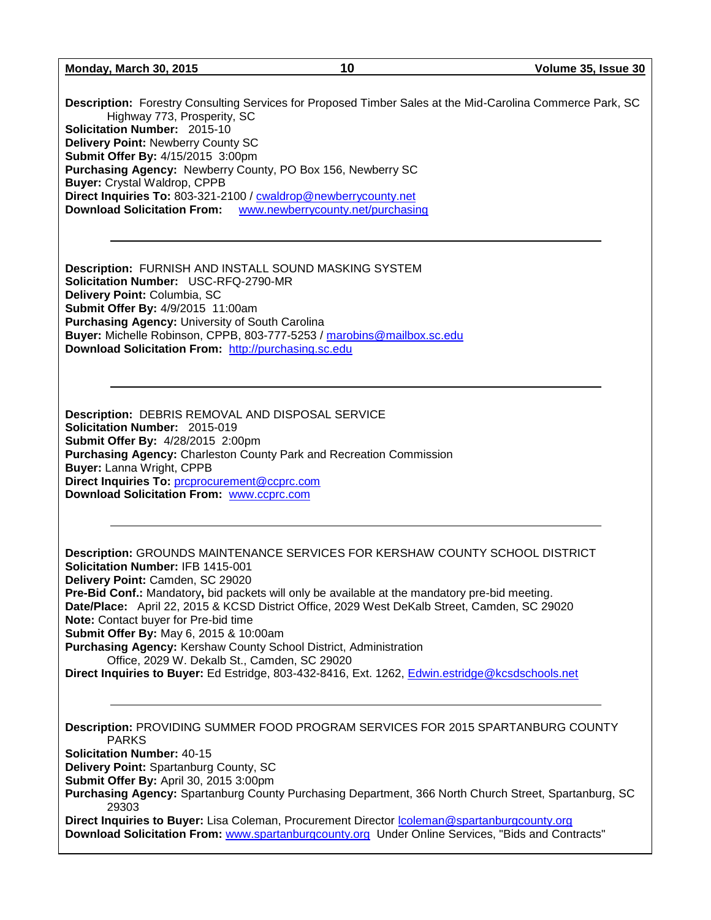**Description:** Forestry Consulting Services for Proposed Timber Sales at the Mid-Carolina Commerce Park, SC Highway 773, Prosperity, SC **Solicitation Number:** 2015-10 **Delivery Point:** Newberry County SC **Submit Offer By:** 4/15/2015 3:00pm **Purchasing Agency:** Newberry County, PO Box 156, Newberry SC **Buyer:** Crystal Waldrop, CPPB **Direct Inquiries To:** 803-321-2100 / [cwaldrop@newberrycounty.net](mailto:cwaldrop@newberrycounty.net) **Download Solicitation From:** [www.newberrycounty.net/purchasing](http://www.newberrycounty.net/purchasing)

**Description:** FURNISH AND INSTALL SOUND MASKING SYSTEM **Solicitation Number:** USC-RFQ-2790-MR **Delivery Point:** Columbia, SC **Submit Offer By:** 4/9/2015 11:00am **Purchasing Agency:** University of South Carolina **Buyer:** Michelle Robinson, CPPB, 803-777-5253 / [marobins@mailbox.sc.edu](mailto:marobins@mailbox.sc.edu)  **Download Solicitation From:** [http://purchasing.sc.edu](http://purchasing.sc.edu/)

**Description:** DEBRIS REMOVAL AND DISPOSAL SERVICE **Solicitation Number:** 2015-019 **Submit Offer By:** 4/28/2015 2:00pm **Purchasing Agency:** Charleston County Park and Recreation Commission **Buyer:** Lanna Wright, CPPB **Direct Inquiries To:** [prcprocurement@ccprc.com](mailto:prcprocurement@ccprc.com) **Download Solicitation From:** [www.ccprc.com](http://www.ccprc.com/)

**Description:** GROUNDS MAINTENANCE SERVICES FOR KERSHAW COUNTY SCHOOL DISTRICT **Solicitation Number:** IFB 1415-001 **Delivery Point:** Camden, SC 29020 **Pre-Bid Conf.:** Mandatory**,** bid packets will only be available at the mandatory pre-bid meeting. **Date/Place:** April 22, 2015 & KCSD District Office, 2029 West DeKalb Street, Camden, SC 29020 **Note:** Contact buyer for Pre-bid time **Submit Offer By:** May 6, 2015 & 10:00am **Purchasing Agency:** Kershaw County School District, Administration Office, 2029 W. Dekalb St., Camden, SC 29020

Direct Inquiries to Buyer: Ed Estridge, 803-432-8416, Ext. 1262, [Edwin.estridge@kcsdschools.net](mailto:Edwin.estridge@kcsdschools.net)

**Description:** PROVIDING SUMMER FOOD PROGRAM SERVICES FOR 2015 SPARTANBURG COUNTY PARKS

**Solicitation Number:** 40-15

**Delivery Point:** Spartanburg County, SC

**Submit Offer By:** April 30, 2015 3:00pm

**Purchasing Agency:** Spartanburg County Purchasing Department, 366 North Church Street, Spartanburg, SC 29303

**Direct Inquiries to Buyer:** Lisa Coleman, Procurement Director [lcoleman@spartanburgcounty.org](mailto:lcoleman@spartanburgcounty.org) **Download Solicitation From:** [www.spartanburgcounty.org](http://www.spartanburgcounty.org/) Under Online Services, "Bids and Contracts"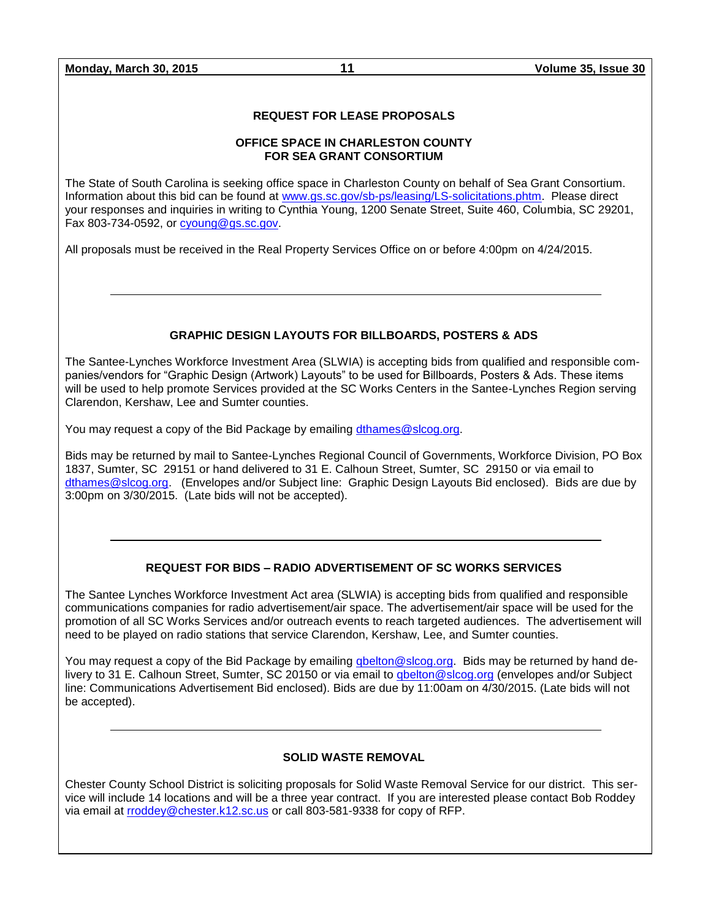#### **REQUEST FOR LEASE PROPOSALS**

#### **OFFICE SPACE IN CHARLESTON COUNTY FOR SEA GRANT CONSORTIUM**

The State of South Carolina is seeking office space in Charleston County on behalf of Sea Grant Consortium. Information about this bid can be found at [www.gs.sc.gov/sb-ps/leasing/LS-solicitations.phtm.](http://www.gs.sc.gov/sb-ps/leasing/LS-solicitations.phtm) Please direct your responses and inquiries in writing to Cynthia Young, 1200 Senate Street, Suite 460, Columbia, SC 29201, Fax 803-734-0592, or [cyoung@gs.sc.gov.](mailto:cyoung@gs.sc.gov)

All proposals must be received in the Real Property Services Office on or before 4:00pm on 4/24/2015.

#### **GRAPHIC DESIGN LAYOUTS FOR BILLBOARDS, POSTERS & ADS**

The Santee-Lynches Workforce Investment Area (SLWIA) is accepting bids from qualified and responsible companies/vendors for "Graphic Design (Artwork) Layouts" to be used for Billboards, Posters & Ads. These items will be used to help promote Services provided at the SC Works Centers in the Santee-Lynches Region serving Clarendon, Kershaw, Lee and Sumter counties.

You may request a copy of the Bid Package by emailing [dthames@slcog.org.](mailto:dthames@slcog.org)

Bids may be returned by mail to Santee-Lynches Regional Council of Governments, Workforce Division, PO Box 1837, Sumter, SC 29151 or hand delivered to 31 E. Calhoun Street, Sumter, SC 29150 or via email to [dthames@slcog.org.](mailto:dthames@slcog.org) (Envelopes and/or Subject line: Graphic Design Layouts Bid enclosed). Bids are due by 3:00pm on 3/30/2015. (Late bids will not be accepted).

#### **REQUEST FOR BIDS – RADIO ADVERTISEMENT OF SC WORKS SERVICES**

The Santee Lynches Workforce Investment Act area (SLWIA) is accepting bids from qualified and responsible communications companies for radio advertisement/air space. The advertisement/air space will be used for the promotion of all SC Works Services and/or outreach events to reach targeted audiences. The advertisement will need to be played on radio stations that service Clarendon, Kershaw, Lee, and Sumter counties.

You may request a copy of the Bid Package by emailing gbelton@slcog.org. Bids may be returned by hand delivery to 31 E. Calhoun Street, Sumter, SC 20150 or via email to [qbelton@slcog.org](mailto:qbelton@slcog.org) (envelopes and/or Subject line: Communications Advertisement Bid enclosed). Bids are due by 11:00am on 4/30/2015. (Late bids will not be accepted).

#### **SOLID WASTE REMOVAL**

Chester County School District is soliciting proposals for Solid Waste Removal Service for our district. This service will include 14 locations and will be a three year contract. If you are interested please contact Bob Roddey via email at [rroddey@chester.k12.sc.us](mailto:rroddey@chester.k12.sc.us) or call 803-581-9338 for copy of RFP.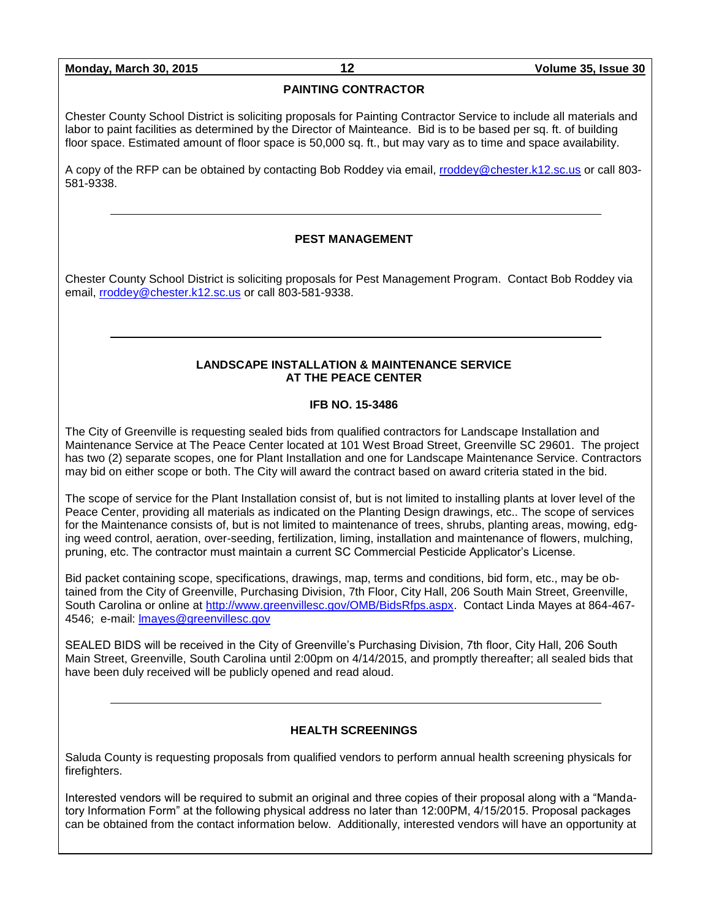#### **PAINTING CONTRACTOR**

Chester County School District is soliciting proposals for Painting Contractor Service to include all materials and labor to paint facilities as determined by the Director of Mainteance. Bid is to be based per sq. ft. of building floor space. Estimated amount of floor space is 50,000 sq. ft., but may vary as to time and space availability.

A copy of the RFP can be obtained by contacting Bob Roddey via email, [rroddey@chester.k12.sc.us](mailto:rroddey@chester.k12.sc.us) or call 803- 581-9338.

#### **PEST MANAGEMENT**

Chester County School District is soliciting proposals for Pest Management Program. Contact Bob Roddey via email, [rroddey@chester.k12.sc.us](mailto:rroddey@chester.k12.sc.us) or call 803-581-9338.

#### **LANDSCAPE INSTALLATION & MAINTENANCE SERVICE AT THE PEACE CENTER**

#### **IFB NO. 15-3486**

The City of Greenville is requesting sealed bids from qualified contractors for Landscape Installation and Maintenance Service at The Peace Center located at 101 West Broad Street, Greenville SC 29601. The project has two (2) separate scopes, one for Plant Installation and one for Landscape Maintenance Service. Contractors may bid on either scope or both. The City will award the contract based on award criteria stated in the bid.

The scope of service for the Plant Installation consist of, but is not limited to installing plants at lover level of the Peace Center, providing all materials as indicated on the Planting Design drawings, etc.. The scope of services for the Maintenance consists of, but is not limited to maintenance of trees, shrubs, planting areas, mowing, edging weed control, aeration, over-seeding, fertilization, liming, installation and maintenance of flowers, mulching, pruning, etc. The contractor must maintain a current SC Commercial Pesticide Applicator's License.

Bid packet containing scope, specifications, drawings, map, terms and conditions, bid form, etc., may be obtained from the City of Greenville, Purchasing Division, 7th Floor, City Hall, 206 South Main Street, Greenville, South Carolina or online at [http://www.greenvillesc.gov/OMB/BidsRfps.aspx.](http://www.greenvillesc.gov/OMB/BidsRfps.aspx) Contact Linda Mayes at 864-467- 4546; e-mail: [lmayes@greenvillesc.gov](mailto:lmayes@greenvillesc.gov)

SEALED BIDS will be received in the City of Greenville's Purchasing Division, 7th floor, City Hall, 206 South Main Street, Greenville, South Carolina until 2:00pm on 4/14/2015, and promptly thereafter; all sealed bids that have been duly received will be publicly opened and read aloud.

#### **HEALTH SCREENINGS**

Saluda County is requesting proposals from qualified vendors to perform annual health screening physicals for firefighters.

Interested vendors will be required to submit an original and three copies of their proposal along with a "Mandatory Information Form" at the following physical address no later than 12:00PM, 4/15/2015. Proposal packages can be obtained from the contact information below. Additionally, interested vendors will have an opportunity at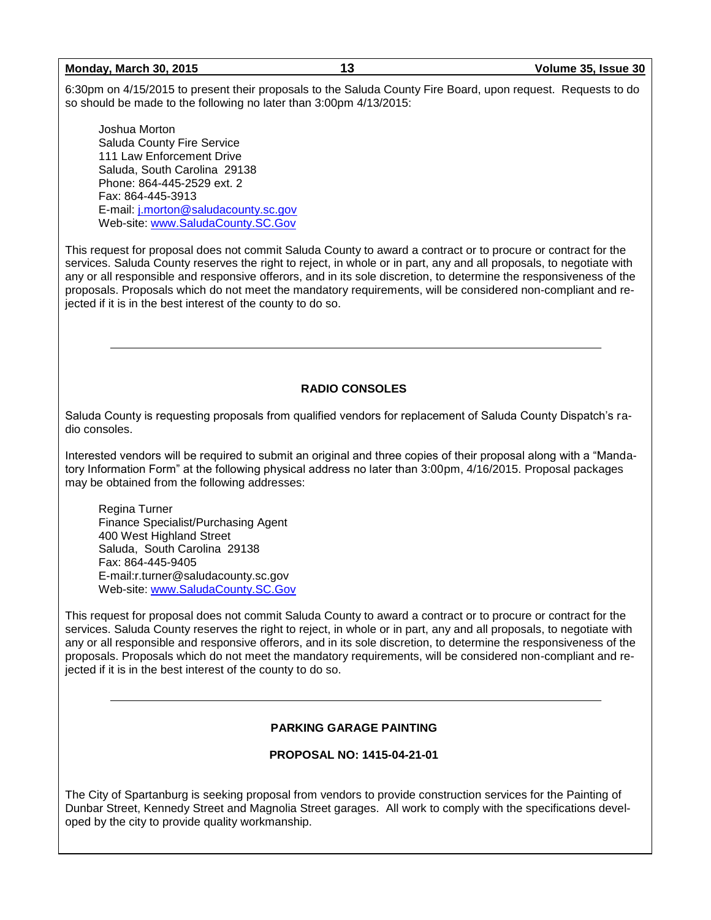6:30pm on 4/15/2015 to present their proposals to the Saluda County Fire Board, upon request. Requests to do so should be made to the following no later than 3:00pm 4/13/2015:

Joshua Morton Saluda County Fire Service 111 Law Enforcement Drive Saluda, South Carolina 29138 Phone: 864-445-2529 ext. 2 Fax: 864-445-3913 E-mail: [j.morton@saludacounty.sc.gov](mailto:j.morton@saludacounty.sc.gov) Web-site: [www.SaludaCounty.SC.Gov](http://www.saludacounty.sc.gov/) 

This request for proposal does not commit Saluda County to award a contract or to procure or contract for the services. Saluda County reserves the right to reject, in whole or in part, any and all proposals, to negotiate with any or all responsible and responsive offerors, and in its sole discretion, to determine the responsiveness of the proposals. Proposals which do not meet the mandatory requirements, will be considered non-compliant and rejected if it is in the best interest of the county to do so.

#### **RADIO CONSOLES**

Saluda County is requesting proposals from qualified vendors for replacement of Saluda County Dispatch's radio consoles.

Interested vendors will be required to submit an original and three copies of their proposal along with a "Mandatory Information Form" at the following physical address no later than 3:00pm, 4/16/2015. Proposal packages may be obtained from the following addresses:

Regina Turner Finance Specialist/Purchasing Agent 400 West Highland Street Saluda, South Carolina 29138 Fax: 864-445-9405 E-mail:r.turner@saludacounty.sc.gov Web-site: [www.SaludaCounty.SC.Gov](http://www.saludacounty.sc.gov/)

This request for proposal does not commit Saluda County to award a contract or to procure or contract for the services. Saluda County reserves the right to reject, in whole or in part, any and all proposals, to negotiate with any or all responsible and responsive offerors, and in its sole discretion, to determine the responsiveness of the proposals. Proposals which do not meet the mandatory requirements, will be considered non-compliant and rejected if it is in the best interest of the county to do so.

#### **PARKING GARAGE PAINTING**

**PROPOSAL NO: 1415-04-21-01**

The City of Spartanburg is seeking proposal from vendors to provide construction services for the Painting of Dunbar Street, Kennedy Street and Magnolia Street garages. All work to comply with the specifications developed by the city to provide quality workmanship.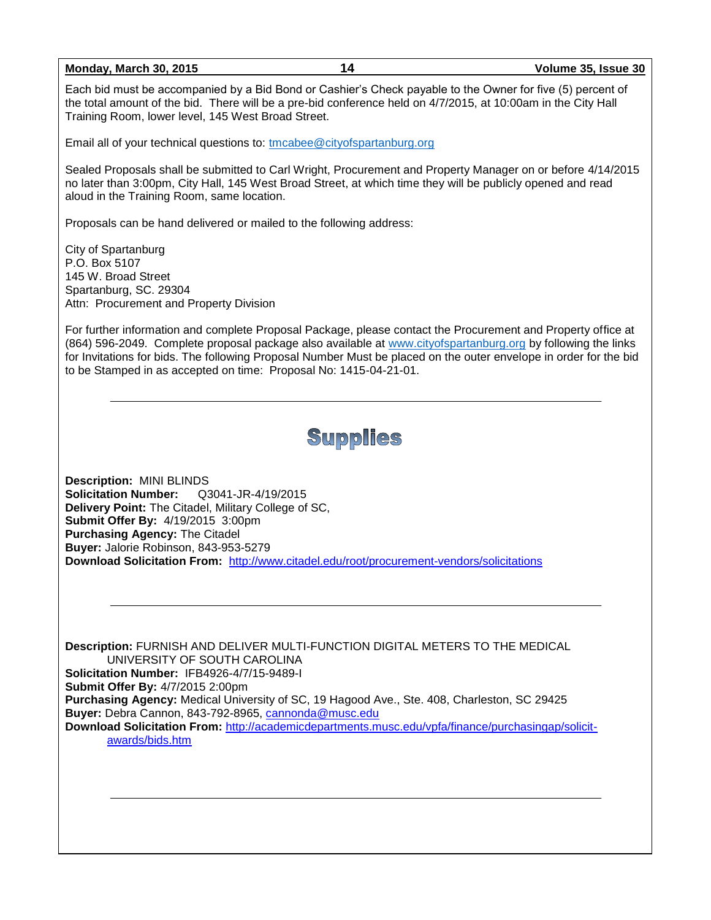Each bid must be accompanied by a Bid Bond or Cashier's Check payable to the Owner for five (5) percent of the total amount of the bid. There will be a pre-bid conference held on 4/7/2015, at 10:00am in the City Hall Training Room, lower level, 145 West Broad Street.

Email all of your technical questions to: [tmcabee@cityofspartanburg.org](mailto:tmcabee@cityofspartanburg.org)

Sealed Proposals shall be submitted to Carl Wright, Procurement and Property Manager on or before 4/14/2015 no later than 3:00pm, City Hall, 145 West Broad Street, at which time they will be publicly opened and read aloud in the Training Room, same location.

Proposals can be hand delivered or mailed to the following address:

City of Spartanburg P.O. Box 5107 145 W. Broad Street Spartanburg, SC. 29304 Attn: Procurement and Property Division

For further information and complete Proposal Package, please contact the Procurement and Property office at (864) 596-2049. Complete proposal package also available at [www.cityofspartanburg.org](http://www.cityofspartanburg.org/) by following the links for Invitations for bids. The following Proposal Number Must be placed on the outer envelope in order for the bid to be Stamped in as accepted on time: Proposal No: 1415-04-21-01.

## Supplies

**Description:** MINI BLINDS **Solicitation Number:** Q3041-JR-4/19/2015 **Delivery Point:** The Citadel, Military College of SC, **Submit Offer By:** 4/19/2015 3:00pm **Purchasing Agency:** The Citadel **Buyer:** Jalorie Robinson, 843-953-5279 **Download Solicitation From:** <http://www.citadel.edu/root/procurement-vendors/solicitations>

**Description:** FURNISH AND DELIVER MULTI-FUNCTION DIGITAL METERS TO THE MEDICAL UNIVERSITY OF SOUTH CAROLINA **Solicitation Number:** IFB4926-4/7/15-9489-I **Submit Offer By:** 4/7/2015 2:00pm **Purchasing Agency:** Medical University of SC, 19 Hagood Ave., Ste. 408, Charleston, SC 29425 **Buyer:** Debra Cannon, 843-792-8965, [cannonda@musc.edu](mailto:cannonda@musc.edu) **Download Solicitation From:** [http://academicdepartments.musc.edu/vpfa/finance/purchasingap/solicit](http://academicdepartments.musc.edu/vpfa/finance/purchasingap/solicit-awards/bids.htm)[awards/bids.htm](http://academicdepartments.musc.edu/vpfa/finance/purchasingap/solicit-awards/bids.htm)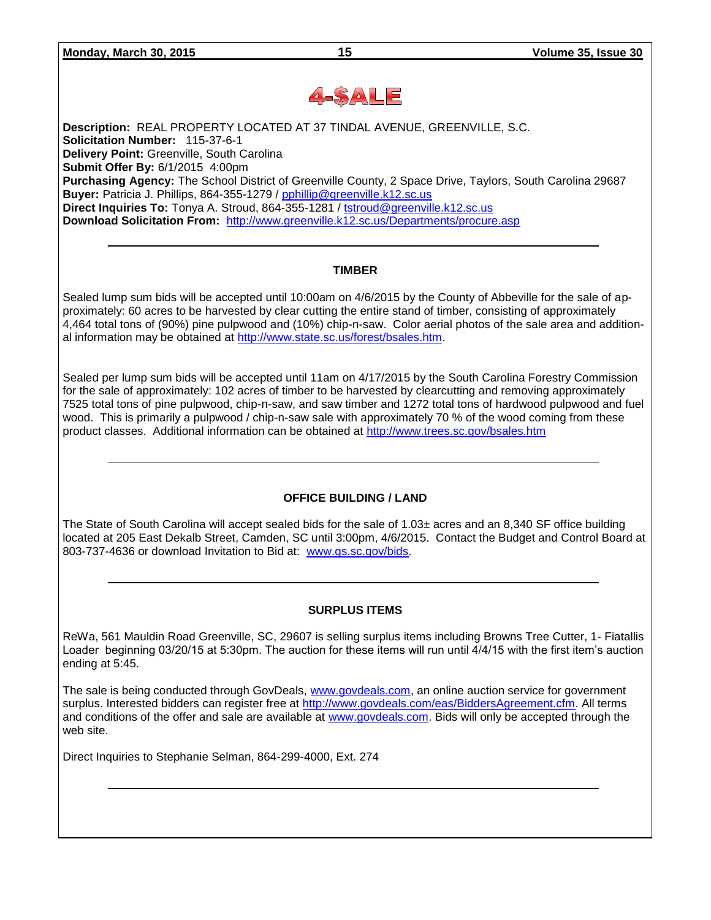

**Description:** REAL PROPERTY LOCATED AT 37 TINDAL AVENUE, GREENVILLE, S.C. **Solicitation Number:** 115-37-6-1 **Delivery Point:** Greenville, South Carolina **Submit Offer By:** 6/1/2015 4:00pm **Purchasing Agency:** The School District of Greenville County, 2 Space Drive, Taylors, South Carolina 29687 **Buyer:** Patricia J. Phillips, 864-355-1279 / [pphillip@greenville.k12.sc.us](mailto:pphillip@greenville.k12.sc.us) **Direct Inquiries To:** Tonya A. Stroud, 864-355-1281 / [tstroud@greenville.k12.sc.us](mailto:tstroud@greenville.k12.sc.us) **Download Solicitation From:** <http://www.greenville.k12.sc.us/Departments/procure.asp>

#### **TIMBER**

Sealed lump sum bids will be accepted until 10:00am on 4/6/2015 by the County of Abbeville for the sale of approximately: 60 acres to be harvested by clear cutting the entire stand of timber, consisting of approximately 4,464 total tons of (90%) pine pulpwood and (10%) chip-n-saw. Color aerial photos of the sale area and additional information may be obtained at [http://www.state.sc.us/forest/bsales.htm.](http://www.state.sc.us/forest/bsales.htm)

Sealed per lump sum bids will be accepted until 11am on 4/17/2015 by the South Carolina Forestry Commission for the sale of approximately: 102 acres of timber to be harvested by clearcutting and removing approximately 7525 total tons of pine pulpwood, chip-n-saw, and saw timber and 1272 total tons of hardwood pulpwood and fuel wood. This is primarily a pulpwood / chip-n-saw sale with approximately 70 % of the wood coming from these product classes. Additional information can be obtained at<http://www.trees.sc.gov/bsales.htm>

#### **OFFICE BUILDING / LAND**

The State of South Carolina will accept sealed bids for the sale of 1.03± acres and an 8,340 SF office building located at 205 East Dekalb Street, Camden, SC until 3:00pm, 4/6/2015. Contact the Budget and Control Board at 803-737-4636 or download Invitation to Bid at: [www.gs.sc.gov/bids.](http://www.gs.sc.gov/bids)

#### **SURPLUS ITEMS**

ReWa, 561 Mauldin Road Greenville, SC, 29607 is selling surplus items including Browns Tree Cutter, 1- Fiatallis Loader beginning 03/20/15 at 5:30pm. The auction for these items will run until 4/4/15 with the first item's auction ending at 5:45.

The sale is being conducted through GovDeals, [www.govdeals.com,](http://www.govdeals.com/) an online auction service for government surplus. Interested bidders can register free at [http://www.govdeals.com/eas/BiddersAgreement.cfm.](http://www.govdeals.com/eas/BiddersAgreement.cfm) All terms and conditions of the offer and sale are available at [www.govdeals.com.](http://www.govdeals.com/) Bids will only be accepted through the web site.

Direct Inquiries to Stephanie Selman, 864-299-4000, Ext. 274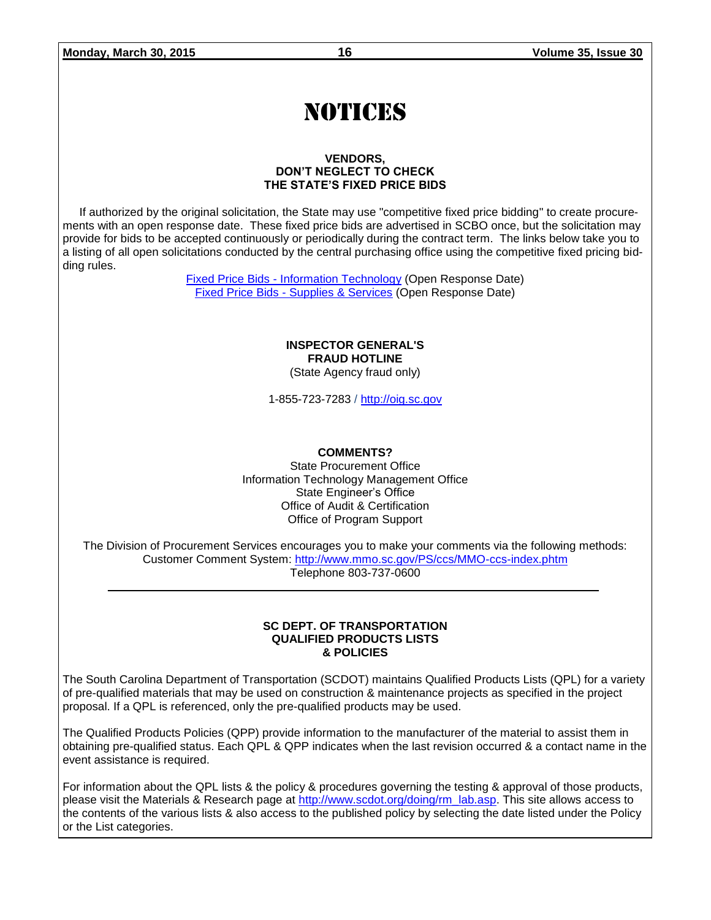# NOTICES

#### **VENDORS, DON'T NEGLECT TO CHECK THE STATE'S FIXED PRICE BIDS**

If authorized by the original solicitation, the State may use "competitive fixed price bidding" to create procurements with an open response date. These fixed price bids are advertised in SCBO once, but the solicitation may provide for bids to be accepted continuously or periodically during the contract term. The links below take you to a listing of all open solicitations conducted by the central purchasing office using the competitive fixed pricing bidding rules.

> Fixed Price Bids - [Information Technology](http://www.mmo.sc.gov/PS/vendor/PS-vendor-fixed-price-bids-it.phtm) (Open Response Date) Fixed Price Bids - [Supplies & Services](http://www.mmo.sc.gov/PS/vendor/PS-vendor-fixed-price-bids-ss.phtm) (Open Response Date)

> > **INSPECTOR GENERAL'S FRAUD HOTLINE** (State Agency fraud only)

1-855-723-7283 / [http://oig.sc.gov](http://oig.sc.gov/)

#### **COMMENTS?**

State Procurement Office Information Technology Management Office State Engineer's Office Office of Audit & Certification Office of Program Support

The Division of Procurement Services encourages you to make your comments via the following methods: Customer Comment System:<http://www.mmo.sc.gov/PS/ccs/MMO-ccs-index.phtm> Telephone 803-737-0600

#### **SC DEPT. OF TRANSPORTATION QUALIFIED PRODUCTS LISTS & POLICIES**

The South Carolina Department of Transportation (SCDOT) maintains Qualified Products Lists (QPL) for a variety of pre-qualified materials that may be used on construction & maintenance projects as specified in the project proposal. If a QPL is referenced, only the pre-qualified products may be used.

The Qualified Products Policies (QPP) provide information to the manufacturer of the material to assist them in obtaining pre-qualified status. Each QPL & QPP indicates when the last revision occurred & a contact name in the event assistance is required.

For information about the QPL lists & the policy & procedures governing the testing & approval of those products, please visit the Materials & Research page at [http://www.scdot.org/doing/rm\\_lab.asp.](http://www.scdot.org/doing/rm_lab.asp) This site allows access to the contents of the various lists & also access to the published policy by selecting the date listed under the Policy or the List categories.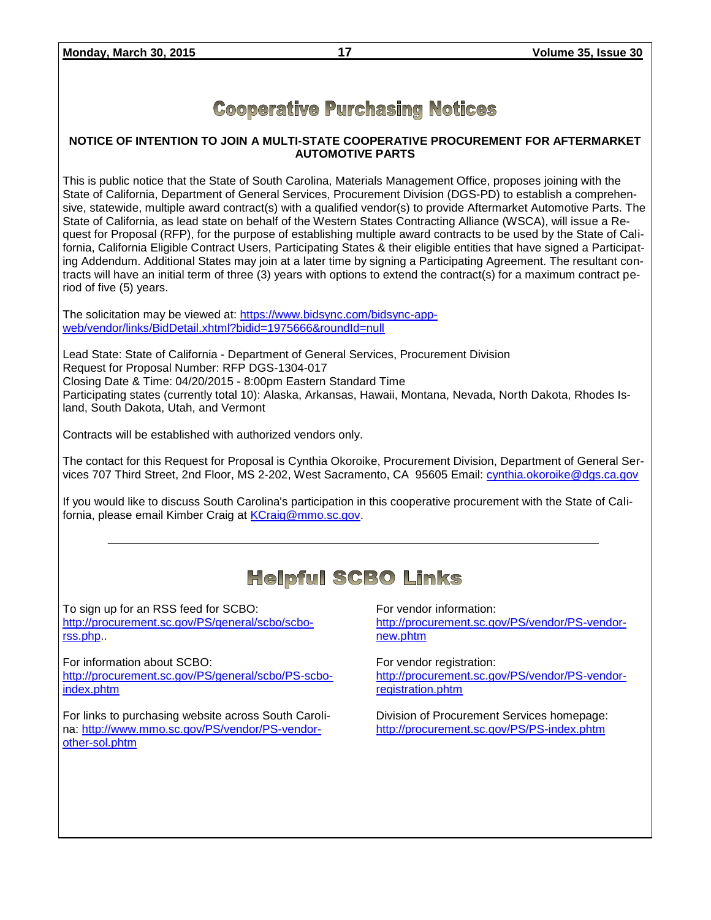### **Cooperative Purchasing Notices**

#### **NOTICE OF INTENTION TO JOIN A MULTI-STATE COOPERATIVE PROCUREMENT FOR AFTERMARKET AUTOMOTIVE PARTS**

This is public notice that the State of South Carolina, Materials Management Office, proposes joining with the State of California, Department of General Services, Procurement Division (DGS-PD) to establish a comprehensive, statewide, multiple award contract(s) with a qualified vendor(s) to provide Aftermarket Automotive Parts. The State of California, as lead state on behalf of the Western States Contracting Alliance (WSCA), will issue a Request for Proposal (RFP), for the purpose of establishing multiple award contracts to be used by the State of California, California Eligible Contract Users, Participating States & their eligible entities that have signed a Participating Addendum. Additional States may join at a later time by signing a Participating Agreement. The resultant contracts will have an initial term of three (3) years with options to extend the contract(s) for a maximum contract period of five (5) years.

The solicitation may be viewed at: [https://www.bidsync.com/bidsync-app](https://www.bidsync.com/bidsync-app-web/vendor/links/BidDetail.xhtml?bidid=1975666&roundId=null)[web/vendor/links/BidDetail.xhtml?bidid=1975666&roundId=null](https://www.bidsync.com/bidsync-app-web/vendor/links/BidDetail.xhtml?bidid=1975666&roundId=null) 

Lead State: State of California - Department of General Services, Procurement Division Request for Proposal Number: RFP DGS-1304-017 Closing Date & Time: 04/20/2015 - 8:00pm Eastern Standard Time Participating states (currently total 10): Alaska, Arkansas, Hawaii, Montana, Nevada, North Dakota, Rhodes Island, South Dakota, Utah, and Vermont

Contracts will be established with authorized vendors only.

The contact for this Request for Proposal is Cynthia Okoroike, Procurement Division, Department of General Services 707 Third Street, 2nd Floor, MS 2-202, West Sacramento, CA 95605 Email: [cynthia.okoroike@dgs.ca.gov](mailto:cynthia.okoroike@dgs.ca.gov)

If you would like to discuss South Carolina's participation in this cooperative procurement with the State of California, please email Kimber Craig at [KCraig@mmo.sc.gov.](mailto:KCraig@mmo.sc.gov)

### **Helpful SCBO Links**

To sign up for an RSS feed for SCBO: [http://procurement.sc.gov/PS/general/scbo/scbo](http://procurement.sc.gov/PS/general/scbo/scbo-rss.php)[rss.php.](http://procurement.sc.gov/PS/general/scbo/scbo-rss.php).

For information about SCBO: [http://procurement.sc.gov/PS/general/scbo/PS-scbo](http://procurement.sc.gov/PS/general/scbo/PS-scbo-index.phtm)[index.phtm](http://procurement.sc.gov/PS/general/scbo/PS-scbo-index.phtm)

For links to purchasing website across South Carolina: [http://www.mmo.sc.gov/PS/vendor/PS-vendor](http://www.mmo.sc.gov/PS/vendor/PS-vendor-other-sol.phtm)[other-sol.phtm](http://www.mmo.sc.gov/PS/vendor/PS-vendor-other-sol.phtm)

For vendor information: [http://procurement.sc.gov/PS/vendor/PS-vendor](http://procurement.sc.gov/PS/vendor/PS-vendor-new.phtm)[new.phtm](http://procurement.sc.gov/PS/vendor/PS-vendor-new.phtm)

For vendor registration: [http://procurement.sc.gov/PS/vendor/PS-vendor](http://procurement.sc.gov/PS/vendor/PS-vendor-registration.phtm)[registration.phtm](http://procurement.sc.gov/PS/vendor/PS-vendor-registration.phtm)

Division of Procurement Services homepage: <http://procurement.sc.gov/PS/PS-index.phtm>